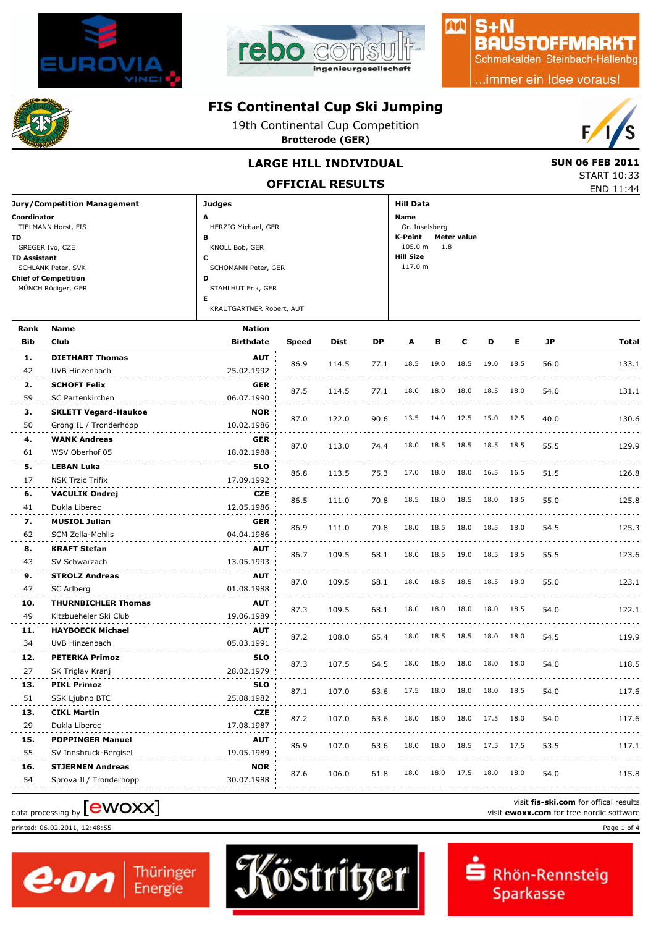



#### $S + N$ **BAUSTOFFMARKT**

AA

Schmalkalden Steinbach-Hallenbg

..immer ein Idee voraus!



### **FIS Continental Cup Ski Jumping**

19th Continental Cup Competition

**Brotterode (GER)**



END 11:44 START 10:33

#### **LARGE HILL INDIVIDUAL** SUN 06 FEB 2011

**OFFICIAL RESULTS**

| <b>Jury/Competition Management</b> | <b>Judges</b>            | <b>Hill Data</b>       |
|------------------------------------|--------------------------|------------------------|
| Coordinator                        | A                        | Name                   |
| TIELMANN Horst, FIS                | HERZIG Michael, GER      | Gr. Inselsberg         |
| TD.                                | в                        | K-Point<br>Meter value |
| GREGER Ivo, CZE                    | KNOLL Bob, GER           | 105.0 m<br>1.8         |
| <b>TD Assistant</b>                | c                        | <b>Hill Size</b>       |
| SCHLANK Peter, SVK                 | SCHOMANN Peter, GER      | 117.0 m                |
| <b>Chief of Competition</b>        | D                        |                        |
| MÜNCH Rüdiger, GER                 | STAHLHUT Erik, GER       |                        |
|                                    | Е                        |                        |
|                                    | KRAUTGARTNER Robert, AUT |                        |

| Rank       | <b>Name</b>                 | <b>Nation</b>    |       |             |      |      |      |      |      |      |      |       |
|------------|-----------------------------|------------------|-------|-------------|------|------|------|------|------|------|------|-------|
| <b>Bib</b> | Club                        | <b>Birthdate</b> | Speed | <b>Dist</b> | DΡ   | A    | в    | с    | D    | Е    | JP   | Total |
| 1.         | <b>DIETHART Thomas</b>      | <b>AUT</b>       |       |             |      |      |      |      |      |      |      |       |
| 42         | UVB Hinzenbach              | 25.02.1992       | 86.9  | 114.5       | 77.1 | 18.5 | 19.0 | 18.5 | 19.0 | 18.5 | 56.0 | 133.1 |
| 2.         | <b>SCHOFT Felix</b>         | <b>GER</b>       |       |             |      |      |      |      |      |      |      |       |
| 59         | SC Partenkirchen            | 06.07.1990       | 87.5  | 114.5       | 77.1 | 18.0 | 18.0 | 18.0 | 18.5 | 18.0 | 54.0 | 131.1 |
| з.         | <b>SKLETT Vegard-Haukoe</b> | <b>NOR</b>       |       |             |      | 13.5 |      | 12.5 | 15.0 |      |      |       |
| 50         | Grong IL / Tronderhopp      | 10.02.1986       | 87.0  | 122.0       | 90.6 |      | 14.0 |      |      | 12.5 | 40.0 | 130.6 |
| 4.         | <b>WANK Andreas</b>         | <b>GER</b>       | 87.0  |             |      | 18.0 | 18.5 | 18.5 | 18.5 | 18.5 | 55.5 |       |
| 61         | WSV Oberhof 05              | 18.02.1988       |       | 113.0       | 74.4 |      |      |      |      |      |      | 129.9 |
| 5.         | <b>LEBAN Luka</b>           | <b>SLO</b>       | 86.8  | 113.5       | 75.3 | 17.0 | 18.0 | 18.0 | 16.5 | 16.5 | 51.5 | 126.8 |
| 17         | <b>NSK Trzic Trifix</b>     | 17.09.1992       |       |             |      |      |      |      |      |      |      |       |
| 6.         | <b>VACULIK Ondrej</b>       | CZE              | 86.5  | 111.0       | 70.8 | 18.5 | 18.0 | 18.5 | 18.0 | 18.5 | 55.0 | 125.8 |
| 41         | Dukla Liberec               | 12.05.1986       |       |             |      |      |      |      |      |      |      |       |
| 7.         | <b>MUSIOL Julian</b>        | <b>GER</b>       | 86.9  | 111.0       | 70.8 | 18.0 | 18.5 | 18.0 | 18.5 | 18.0 | 54.5 | 125.3 |
| 62         | SCM Zella-Mehlis            | 04.04.1986       |       |             |      |      |      |      |      |      |      |       |
| 8.         | <b>KRAFT Stefan</b>         | <b>AUT</b>       | 86.7  | 109.5       | 68.1 | 18.0 | 18.5 | 19.0 | 18.5 | 18.5 | 55.5 | 123.6 |
| 43         | SV Schwarzach               | 13.05.1993       |       |             |      |      |      |      |      |      |      |       |
| 9.         | <b>STROLZ Andreas</b>       | <b>AUT</b>       | 87.0  | 109.5       | 68.1 | 18.0 | 18.5 | 18.5 | 18.5 | 18.0 | 55.0 | 123.1 |
| 47         | SC Arlberg                  | 01.08.1988       |       |             |      |      |      |      |      |      |      |       |
| 10.        | <b>THURNBICHLER Thomas</b>  | <b>AUT</b>       | 87.3  | 109.5       | 68.1 | 18.0 | 18.0 | 18.0 | 18.0 | 18.5 | 54.0 | 122.1 |
| 49         | Kitzbueheler Ski Club       | 19.06.1989       |       |             |      |      |      |      |      |      |      |       |
| 11.        | <b>HAYBOECK Michael</b>     | <b>AUT</b>       | 87.2  | 108.0       | 65.4 | 18.0 | 18.5 | 18.5 | 18.0 | 18.0 | 54.5 | 119.9 |
| 34         | UVB Hinzenbach              | 05.03.1991       |       |             |      |      |      |      |      |      |      |       |
| 12.        | <b>PETERKA Primoz</b>       | <b>SLO</b>       | 87.3  | 107.5       | 64.5 | 18.0 | 18.0 | 18.0 | 18.0 | 18.0 | 54.0 | 118.5 |
| 27         | SK Triglav Kranj            | 28.02.1979       |       |             |      |      |      |      |      |      |      |       |
| 13.        | <b>PIKL Primoz</b>          | <b>SLO</b>       | 87.1  | 107.0       | 63.6 | 17.5 | 18.0 | 18.0 | 18.0 | 18.5 | 54.0 | 117.6 |
| 51         | SSK Ljubno BTC              | 25.08.1982       |       |             |      |      |      |      |      |      |      |       |
| 13.        | <b>CIKL Martin</b>          | <b>CZE</b>       | 87.2  | 107.0       | 63.6 | 18.0 | 18.0 | 18.0 | 17.5 | 18.0 | 54.0 | 117.6 |
| 29         | Dukla Liberec               | 17.08.1987       |       |             |      |      |      |      |      |      |      |       |
| 15.        | <b>POPPINGER Manuel</b>     | <b>AUT</b>       | 86.9  | 107.0       | 63.6 | 18.0 | 18.0 | 18.5 | 17.5 | 17.5 | 53.5 | 117.1 |
| 55         | SV Innsbruck-Bergisel       | 19.05.1989       |       |             |      |      |      |      |      |      |      |       |
| 16.        | <b>STJERNEN Andreas</b>     | <b>NOR</b>       | 87.6  | 106.0       | 61.8 | 18.0 | 18.0 | 17.5 | 18.0 | 18.0 | 54.0 | 115.8 |
|            |                             |                  |       |             |      |      |      |      |      |      |      |       |

# visit fis-ski.com for offical results<br>
visit **ewoxx.com** for free nordic software<br>
visit **ewoxx.com** for free nordic software

printed: 06.02.2011, 12:48:55 Page 1 of 4



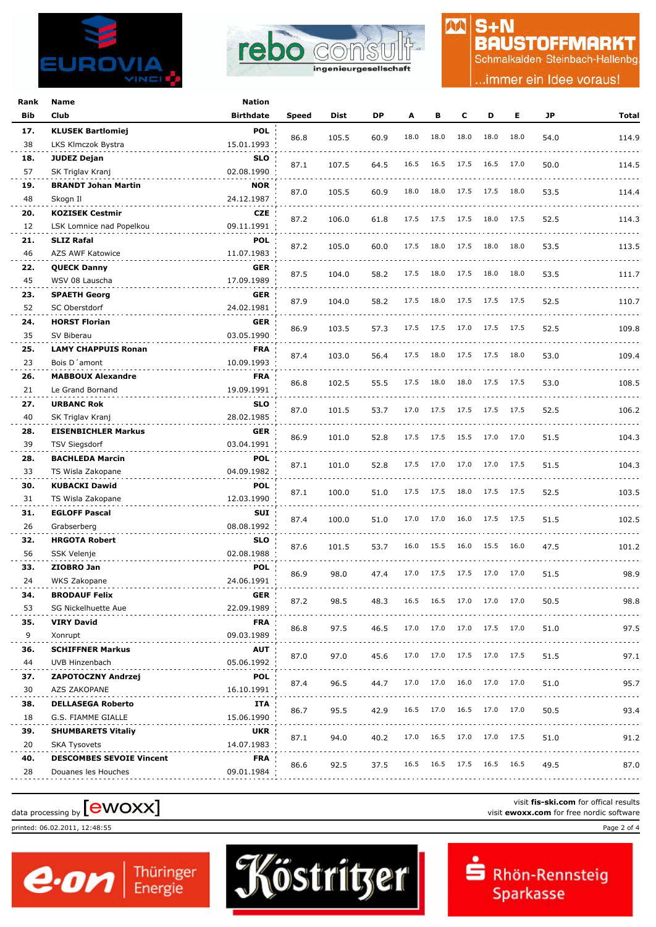



### $S + N$ **BAUSTOFFMARKT**

M

Schmalkalden Steinbach-Hallenbg

.immer ein Idee voraus!

| Rank      | Name                                      | <b>Nation</b>            |       |       |      |      |      |      |                |      |      |           |
|-----------|-------------------------------------------|--------------------------|-------|-------|------|------|------|------|----------------|------|------|-----------|
| Bib       | Club                                      | <b>Birthdate</b>         | Speed | Dist  | DP   | A    | в    | c    | D              | Е    | JP   | Total     |
| 17.       | <b>KLUSEK Bartlomiej</b>                  | <b>POL</b>               |       |       |      |      |      |      |                |      |      |           |
| 38        | LKS Klmczok Bystra                        | 15.01.1993               | 86.8  | 105.5 | 60.9 | 18.0 | 18.0 | 18.0 | 18.0           | 18.0 | 54.0 | 114.9     |
| 18.       | <b>JUDEZ Dejan</b>                        | <b>SLO</b>               |       |       |      |      |      |      |                |      |      |           |
| 57        | SK Triglav Kranj                          | 02.08.1990               | 87.1  | 107.5 | 64.5 | 16.5 | 16.5 | 17.5 | 16.5           | 17.0 | 50.0 | 114.5     |
| 19.       | <b>BRANDT Johan Martin</b>                | <b>NOR</b>               |       |       |      |      |      |      |                |      |      |           |
| 48        | Skogn II                                  | 24.12.1987               | 87.0  | 105.5 | 60.9 | 18.0 | 18.0 | 17.5 | 17.5           | 18.0 | 53.5 | 114.4     |
| 20.       | <b>KOZISEK Cestmir</b>                    | <b>CZE</b>               |       |       |      | 17.5 | 17.5 | 17.5 | 18.0           | 17.5 |      |           |
| 12        | LSK Lomnice nad Popelkou                  | 09.11.1991               | 87.2  | 106.0 | 61.8 |      |      |      |                |      | 52.5 | 114.3     |
| 21.       | <b>SLIZ Rafal</b>                         | <b>POL</b>               | 87.2  | 105.0 | 60.0 | 17.5 | 18.0 | 17.5 | 18.0           | 18.0 | 53.5 | 113.5     |
| 46        | AZS AWF Katowice                          | 11.07.1983               |       |       |      |      |      |      |                |      |      |           |
| 22.       | <b>QUECK Danny</b>                        | <b>GER</b>               | 87.5  | 104.0 | 58.2 | 17.5 | 18.0 | 17.5 | 18.0           | 18.0 | 53.5 | 111.7     |
| 45        | WSV 08 Lauscha                            | 17.09.1989               |       |       |      |      |      |      |                |      |      |           |
| 23.       | <b>SPAETH Georg</b>                       | <b>GER</b>               | 87.9  | 104.0 | 58.2 | 17.5 | 18.0 | 17.5 | 17.5 17.5      |      | 52.5 | 110.7     |
| 52        | SC Oberstdorf                             | 24.02.1981               |       |       |      |      |      |      |                |      |      |           |
| 24.       | <b>HORST Florian</b>                      | <b>GER</b>               | 86.9  | 103.5 | 57.3 | 17.5 | 17.5 | 17.0 | 17.5 17.5      |      | 52.5 | 109.8     |
| 35        | SV Biberau                                | 03.05.1990               |       |       |      |      |      |      |                |      |      |           |
| 25.       | <b>LAMY CHAPPUIS Ronan</b>                | <b>FRA</b>               | 87.4  | 103.0 | 56.4 | 17.5 | 18.0 | 17.5 | 17.5 18.0      |      | 53.0 | 109.4     |
| 23        | Bois D'amont                              | 10.09.1993               |       |       |      |      |      |      |                |      |      |           |
| 26.       | <b>MABBOUX Alexandre</b>                  | <b>FRA</b>               | 86.8  | 102.5 | 55.5 | 17.5 | 18.0 | 18.0 | 17.5 17.5      |      | 53.0 | 108.5     |
| 21        | Le Grand Bornand                          | 19.09.1991               |       |       |      |      |      |      |                |      |      |           |
| 27.       | <b>URBANC Rok</b>                         | <b>SLO</b>               | 87.0  | 101.5 | 53.7 | 17.0 | 17.5 | 17.5 | 17.5           | 17.5 | 52.5 | 106.2     |
| 40        | SK Triglav Kranj                          | 28.02.1985               |       |       |      |      |      |      |                |      |      |           |
| 28.       | <b>EISENBICHLER Markus</b>                | <b>GER</b>               | 86.9  | 101.0 | 52.8 | 17.5 | 17.5 | 15.5 | 17.0 17.0      |      | 51.5 | 104.3     |
| 39        | <b>TSV Siegsdorf</b>                      | 03.04.1991               |       |       |      |      |      |      |                |      |      |           |
| 28.       | <b>BACHLEDA Marcin</b>                    | <b>POL</b>               | 87.1  | 101.0 | 52.8 | 17.5 | 17.0 | 17.0 | 17.0 17.5      |      | 51.5 | 104.3     |
| 33        | TS Wisla Zakopane                         | 04.09.1982               |       |       |      |      |      |      |                |      |      |           |
| 30.<br>31 | <b>KUBACKI Dawid</b><br>TS Wisla Zakopane | <b>POL</b><br>12.03.1990 | 87.1  | 100.0 | 51.0 | 17.5 | 17.5 | 18.0 | 17.5 17.5      |      | 52.5 | 103.5     |
| 31.       | <b>EGLOFF Pascal</b>                      | <b>SUI</b>               |       |       |      |      |      |      |                |      |      |           |
| 26        | Grabserberg                               | 08.08.1992               | 87.4  | 100.0 | 51.0 | 17.0 | 17.0 | 16.0 | 17.5 17.5      |      | 51.5 | 102.5     |
| 32.       | <b>HRGOTA Robert</b>                      | <b>SLO</b>               |       |       |      |      |      |      |                |      |      |           |
| 56        | <b>SSK Velenje</b>                        | 02.08.1988               | 87.6  | 101.5 | 53.7 | 16.0 | 15.5 | 16.0 | 15.5           | 16.0 | 47.5 | 101.2     |
| 33.       | ZIOBRO Jan                                | <b>POL</b>               |       |       |      |      |      |      |                |      |      |           |
| 24        | WKS Zakopane                              | 24.06.1991               | 86.9  | 98.0  | 47.4 | 17.0 | 17.5 | 17.5 | 17.0 17.0      |      | 51.5 | 98.9      |
| 34.       | <b>BRODAUF Felix</b>                      | <b>GER</b>               |       |       |      |      |      |      |                |      |      |           |
| 53        | SG Nickelhuette Aue                       | 22.09.1989               | 87.2  | 98.5  | 48.3 | 16.5 | 16.5 | 17.0 | 17.0 17.0      |      | 50.5 | 98.8      |
| 35.       | <b>VIRY David</b>                         | <b>FRA</b>               |       |       |      |      |      |      |                |      |      |           |
| 9         | Xonrupt                                   | 09.03.1989               | 86.8  | 97.5  | 46.5 | 17.0 | 17.0 | 17.0 | 17.5 17.0      |      | 51.0 | 97.5      |
| 36.       | <b>SCHIFFNER Markus</b>                   | <b>AUT</b>               |       |       |      |      |      |      |                |      |      | .         |
| 44        | UVB Hinzenbach                            | 05.06.1992               | 87.0  | 97.0  | 45.6 | 17.0 | 17.0 | 17.5 | 17.0 17.5      |      | 51.5 | 97.1      |
| 37.       | <b>ZAPOTOCZNY Andrzej</b>                 | POL                      |       |       |      |      |      |      |                |      |      | .         |
| 30        | AZS ZAKOPANE                              | 16.10.1991               | 87.4  | 96.5  | 44.7 | 17.0 | 17.0 | 16.0 | 17.0 17.0      |      | 51.0 | 95.7<br>. |
| 38.       | <b>DELLASEGA Roberto</b>                  | ITA                      |       |       |      | 16.5 | 17.0 |      | 16.5 17.0 17.0 |      |      |           |
| 18        | G.S. FIAMME GIALLE                        | 15.06.1990               | 86.7  | 95.5  | 42.9 |      |      |      |                |      | 50.5 | 93.4      |
| 39.       | <b>SHUMBARETS Vitaliy</b>                 | <b>UKR</b>               | 87.1  | 94.0  | 40.2 | 17.0 | 16.5 | 17.0 | 17.0 17.5      |      | 51.0 | 91.2      |
| 20        | <b>SKA Tysovets</b>                       | 14.07.1983               |       |       |      |      |      |      |                |      |      |           |
| 40.       | <b>DESCOMBES SEVOIE Vincent</b>           | <b>FRA</b>               | 86.6  | 92.5  | 37.5 | 16.5 | 16.5 | 17.5 | 16.5 16.5      |      | 49.5 | 87.0      |
| 28        | Douanes les Houches                       | 09.01.1984               |       |       |      |      |      |      |                |      |      |           |
|           |                                           |                          |       |       |      |      |      |      |                |      |      |           |

# visit fis-ski.com for offical results<br>visit **ewoxx.com** for free nordic software<br>visit **ewoxx.com** for free nordic software

 $\boldsymbol{e}$  on  $\vert$ <sup>Thüringer</sup>

printed: 06.02.2011, 12:48:55 Page 2 of 4



Rhön-Rennsteig Sparkasse

visit **fis-ski.com** for offical results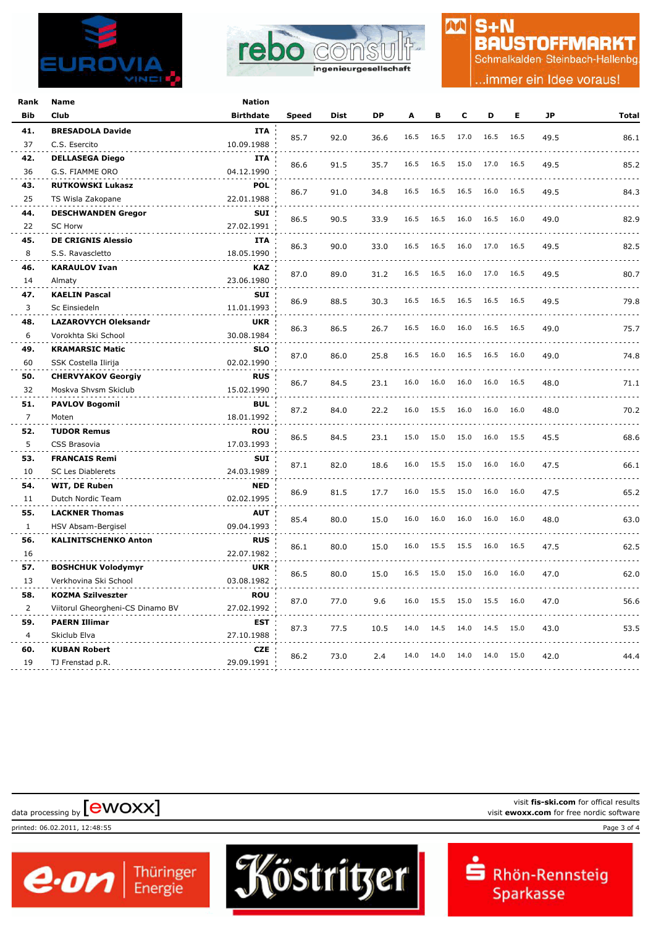



### $S + N$ **BAUSTOFFMARKT**

M

Schmalkalden Steinbach-Hallenbg

.immer ein Idee voraus!

| Rank           | <b>Name</b>                             | <b>Nation</b>            |       |             |           |      |      |      |           |      |      |       |
|----------------|-----------------------------------------|--------------------------|-------|-------------|-----------|------|------|------|-----------|------|------|-------|
| <b>Bib</b>     | Club                                    | <b>Birthdate</b>         | Speed | <b>Dist</b> | <b>DP</b> | A    | в    | C    | D         | Е    | JP   | Total |
| 41.            | <b>BRESADOLA Davide</b>                 | <b>ITA</b>               |       |             |           | 16.5 | 16.5 | 17.0 | 16.5      | 16.5 |      |       |
| 37             | C.S. Esercito                           | 10.09.1988               | 85.7  | 92.0        | 36.6      |      |      |      |           |      | 49.5 | 86.1  |
| 42.            | <b>DELLASEGA Diego</b>                  | <b>ITA</b>               |       |             |           | 16.5 | 16.5 | 15.0 | 17.0      | 16.5 |      |       |
| 36             | G.S. FIAMME ORO                         | 04.12.1990               | 86.6  | 91.5        | 35.7      |      |      |      |           |      | 49.5 | 85.2  |
| 43.            | <b>RUTKOWSKI Lukasz</b>                 | <b>POL</b>               | 86.7  | 91.0        | 34.8      | 16.5 | 16.5 | 16.5 | 16.0      | 16.5 | 49.5 |       |
| 25             | TS Wisla Zakopane                       | 22.01.1988               |       |             |           |      |      |      |           |      |      | 84.3  |
| 44.            | <b>DESCHWANDEN Gregor</b>               | <b>SUI</b>               | 86.5  | 90.5        | 33.9      | 16.5 | 16.5 | 16.0 | 16.5      | 16.0 | 49.0 | 82.9  |
| 22             | <b>SC Horw</b>                          | 27.02.1991               |       |             |           |      |      |      |           |      |      |       |
| 45.            | <b>DE CRIGNIS Alessio</b>               | <b>ITA</b>               | 86.3  | 90.0        | 33.0      | 16.5 | 16.5 | 16.0 | 17.0      | 16.5 | 49.5 | 82.5  |
| 8              | S.S. Ravascletto                        | 18.05.1990               |       |             |           |      |      |      |           |      |      |       |
| 46.            | <b>KARAULOV Ivan</b>                    | <b>KAZ</b>               | 87.0  | 89.0        | 31.2      | 16.5 | 16.5 | 16.0 | 17.0      | 16.5 | 49.5 | 80.7  |
| 14             | Almaty                                  | 23.06.1980               |       |             |           |      |      |      |           |      |      |       |
| 47.            | <b>KAELIN Pascal</b>                    | <b>SUI</b>               | 86.9  | 88.5        | 30.3      | 16.5 | 16.5 | 16.5 | 16.5      | 16.5 | 49.5 | 79.8  |
| 3              | Sc Einsiedeln                           | 11.01.1993               |       |             |           |      |      |      |           |      |      |       |
| 48.            | <b>LAZAROVYCH Oleksandr</b>             | UKR                      | 86.3  | 86.5        | 26.7      | 16.5 | 16.0 | 16.0 | 16.5      | 16.5 | 49.0 | 75.7  |
| 6              | Vorokhta Ski School                     | 30.08.1984               |       |             |           |      |      |      |           |      |      |       |
| 49.            | <b>KRAMARSIC Matic</b>                  | <b>SLO</b>               | 87.0  | 86.0        | 25.8      | 16.5 | 16.0 | 16.5 | 16.5      | 16.0 | 49.0 | 74.8  |
| 60             | SSK Costella Ilirija                    | 02.02.1990               |       |             |           |      |      |      |           |      |      |       |
| 50.            | <b>CHERVYAKOV Georgiy</b>               | <b>RUS</b>               | 86.7  | 84.5        | 23.1      | 16.0 | 16.0 | 16.0 | 16.0      | 16.5 | 48.0 | 71.1  |
| 32             | Moskva Shvsm Skiclub                    | 15.02.1990               |       |             |           |      |      |      |           |      |      |       |
| 51.            | <b>PAVLOV Bogomil</b>                   | <b>BUL</b>               | 87.2  | 84.0        | 22.2      | 16.0 | 15.5 | 16.0 | 16.0      | 16.0 | 48.0 | 70.2  |
| $\overline{7}$ | Moten                                   | 18.01.1992               |       |             |           |      |      |      |           |      |      |       |
| 52.            | <b>TUDOR Remus</b>                      | <b>ROU</b>               | 86.5  | 84.5        | 23.1      | 15.0 | 15.0 | 15.0 | 16.0 15.5 |      | 45.5 | 68.6  |
| 5              | CSS Brasovia                            | 17.03.1993               |       |             |           |      |      |      |           |      |      |       |
| 53.            | <b>FRANCAIS Remi</b>                    | SUI                      | 87.1  | 82.0        | 18.6      | 16.0 | 15.5 | 15.0 | 16.0      | 16.0 | 47.5 | 66.1  |
| 10             | SC Les Diablerets                       | 24.03.1989               |       |             |           |      |      |      |           |      |      |       |
| 54.            | WIT, DE Ruben                           | <b>NED</b>               | 86.9  | 81.5        | 17.7      | 16.0 | 15.5 | 15.0 | 16.0      | 16.0 | 47.5 | 65.2  |
| 11             | Dutch Nordic Team                       | 02.02.1995               |       |             |           |      |      |      |           |      |      |       |
| 55.            | <b>LACKNER Thomas</b>                   | <b>AUT</b>               | 85.4  | 80.0        | 15.0      | 16.0 | 16.0 | 16.0 | 16.0      | 16.0 | 48.0 | 63.0  |
| $\mathbf{1}$   | HSV Absam-Bergisel                      | 09.04.1993               |       |             |           |      |      |      |           |      |      |       |
| 56.            | <b>KALINITSCHENKO Anton</b>             | <b>RUS</b>               | 86.1  | 80.0        | 15.0      | 16.0 | 15.5 | 15.5 | 16.0      | 16.5 | 47.5 | 62.5  |
| 16             |                                         | 22.07.1982               |       |             |           |      |      |      |           |      |      |       |
| 57.            | <b>BOSHCHUK Volodymyr</b>               | <b>UKR</b>               | 86.5  | 80.0        | 15.0      | 16.5 | 15.0 | 15.0 | 16.0      | 16.0 | 47.0 | 62.0  |
| 13             | Verkhovina Ski School                   | 03.08.1982               |       |             |           |      |      |      |           |      |      |       |
| 58.            | <b>KOZMA Szilveszter</b>                | <b>ROU</b>               | 87.0  | 77.0        | 9.6       | 16.0 | 15.5 | 15.0 | 15.5      | 16.0 | 47.0 | 56.6  |
| 2              | Viitorul Gheorgheni-CS Dinamo BV        | 27.02.1992               |       |             |           |      |      |      |           |      |      |       |
| 59.            | <b>PAERN Illimar</b>                    | EST                      | 87.3  | 77.5        | 10.5      | 14.0 | 14.5 | 14.0 | 14.5      | 15.0 | 43.0 | 53.5  |
| $\overline{4}$ | Skiclub Elva                            | 27.10.1988               |       |             |           |      |      |      |           |      |      |       |
| 60.<br>19      | <b>KUBAN Robert</b><br>TJ Frenstad p.R. | <b>CZE</b><br>29.09.1991 | 86.2  | 73.0        | 2.4       | 14.0 | 14.0 | 14.0 | 14.0 15.0 |      | 42.0 | 44.4  |
|                |                                         |                          |       |             |           |      |      |      |           |      |      |       |

visit **fis-ski.com** for offical results data processing by **[CWOXX]** visit **ewoxx.com** for offical results<br>visit **ewoxx.com** for free nordic software printed: 06.02.2011, 12:48:55 Page 3 of 4

Köstritzer